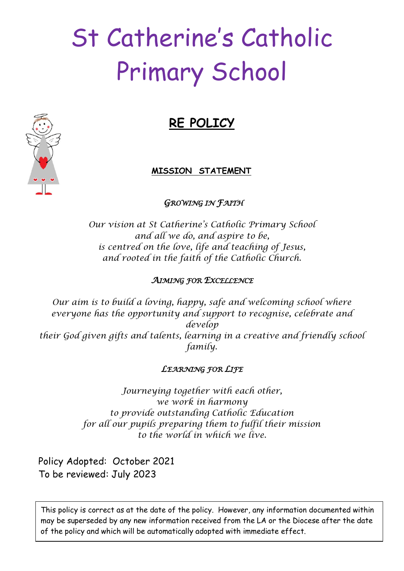# St Catherine's Catholic Primary School

# **RE POLICY**

# **MISSION STATEMENT**

# *GROWING IN FAITH*

*Our vision at St Catherine's Catholic Primary School and all we do, and aspire to be, is centred on the love, life and teaching of Jesus, and rooted in the faith of the Catholic Church.*

# *AIMING FOR EXCELLENCE*

*Our aim is to build a loving, happy, safe and welcoming school where everyone has the opportunity and support to recognise, celebrate and develop their God given gifts and talents, learning in a creative and friendly school family.*

### *LEARNING FOR LIFE*

*Journeying together with each other, we work in harmony to provide outstanding Catholic Education for all our pupils preparing them to fulfil their mission to the world in which we live.*

Policy Adopted: October 2021 To be reviewed: July 2023

This policy is correct as at the date of the policy. However, any information documented within may be superseded by any new information received from the LA or the Diocese after the date of the policy and which will be automatically adopted with immediate effect.

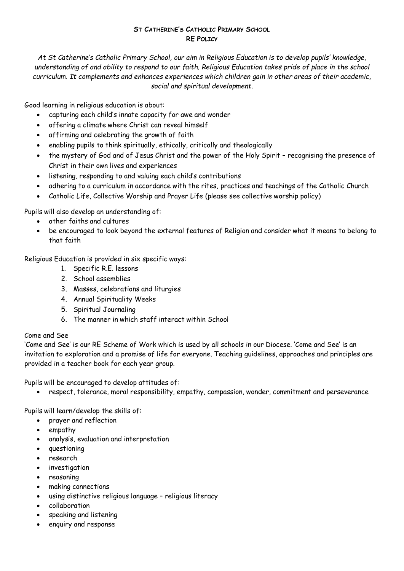#### **ST CATHERINE'S CATHOLIC PRIMARY SCHOOL RE POLICY**

*At St Catherine's Catholic Primary School, our aim in Religious Education is to develop pupils' knowledge, understanding of and ability to respond to our faith. Religious Education takes pride of place in the school curriculum. It complements and enhances experiences which children gain in other areas of their academic, social and spiritual development.*

Good learning in religious education is about:

- capturing each child's innate capacity for awe and wonder
- offering a climate where Christ can reveal himself
- affirming and celebrating the growth of faith
- enabling pupils to think spiritually, ethically, critically and theologically
- the mystery of God and of Jesus Christ and the power of the Holy Spirit recognising the presence of Christ in their own lives and experiences
- $\bullet$  listening, responding to and valuing each child's contributions
- adhering to a curriculum in accordance with the rites, practices and teachings of the Catholic Church
- Catholic Life, Collective Worship and Prayer Life (please see collective worship policy)

Pupils will also develop an understanding of:

- other faiths and cultures
- be encouraged to look beyond the external features of Religion and consider what it means to belong to that faith

Religious Education is provided in six specific ways:

- 1. Specific R.E. lessons
- 2. School assemblies
- 3. Masses, celebrations and liturgies
- 4. Annual Spirituality Weeks
- 5. Spiritual Journaling
- 6. The manner in which staff interact within School

#### Come and See

'Come and See' is our RE Scheme of Work which is used by all schools in our Diocese. 'Come and See' is an invitation to exploration and a promise of life for everyone. Teaching guidelines, approaches and principles are provided in a teacher book for each year group.

Pupils will be encouraged to develop attitudes of:

respect, tolerance, moral responsibility, empathy, compassion, wonder, commitment and perseverance

Pupils will learn/develop the skills of:

- prayer and reflection
- empathy
- analysis, evaluation and interpretation
- **•** questioning
- research
- **•** investigation
- reasoning
- making connections
- using distinctive religious language religious literacy
- collaboration
- speaking and listening
- enquiry and response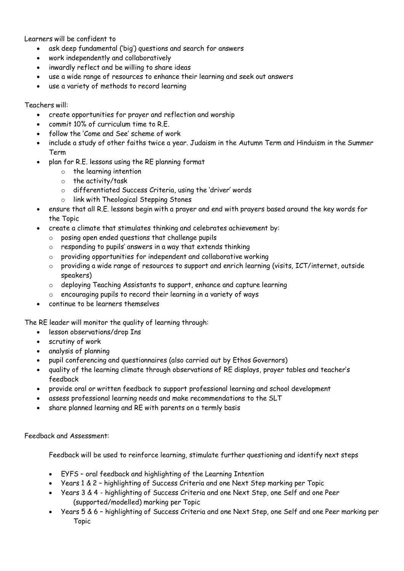Learners will be confident to

- ask deep fundamental ('big') questions and search for answers
- work independently and collaboratively
- inwardly reflect and be willing to share ideas
- use a wide range of resources to enhance their learning and seek out answers
- use a variety of methods to record learning

#### Teachers will:

- create opportunities for prayer and reflection and worship
- $\epsilon$  commit 10% of curriculum time to RF
- follow the 'Come and See' scheme of work
- include a study of other faiths twice a year. Judaism in the Autumn Term and Hinduism in the Summer Term
- plan for R.E. lessons using the RE planning format
	- o the learning intention
	- o the activity/task
	- o differentiated Success Criteria, using the 'driver' words
	- o link with Theological Stepping Stones
- ensure that all R.E. lessons begin with a prayer and end with prayers based around the key words for the Topic
- create a climate that stimulates thinking and celebrates achievement by:
	- o posing open ended questions that challenge pupils
	- o responding to pupils' answers in a way that extends thinking
	- o providing opportunities for independent and collaborative working
	- o providing a wide range of resources to support and enrich learning (visits, ICT/internet, outside speakers)
	- o deploying Teaching Assistants to support, enhance and capture learning
	- o encouraging pupils to record their learning in a variety of ways
- continue to be learners themselves

The RE leader will monitor the quality of learning through:

- lesson observations/drop Ins
- scrutiny of work
- analysis of planning
- pupil conferencing and questionnaires (also carried out by Ethos Governors)
- quality of the learning climate through observations of RE displays, prayer tables and teacher's feedback
- provide oral or written feedback to support professional learning and school development
- assess professional learning needs and make recommendations to the SLT
- share planned learning and RE with parents on a termly basis

Feedback and Assessment:

Feedback will be used to reinforce learning, stimulate further questioning and identify next steps

- EYFS oral feedback and highlighting of the Learning Intention
- Years 1 & 2 highlighting of Success Criteria and one Next Step marking per Topic
- Years 3 & 4 highlighting of Success Criteria and one Next Step, one Self and one Peer (supported/modelled) marking per Topic
- Years 5 & 6 highlighting of Success Criteria and one Next Step, one Self and one Peer marking per Topic